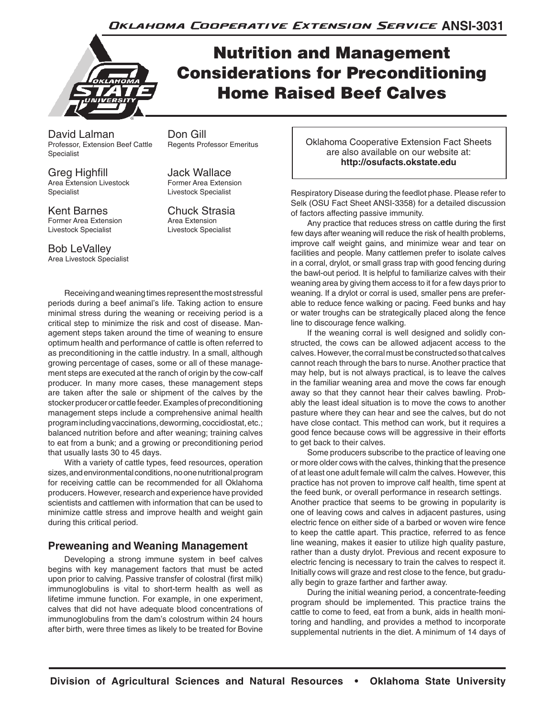

# Nutrition and Management Considerations for Preconditioning Home Raised Beef Calves

David Lalman **Don Gill**<br>Professor, Extension Beef Cattle Regents Professor Emeritus Professor, Extension Beef Cattle Specialist

Greg Highfill Jack Wallace Area Extension Livestock Specialist Livestock Specialist

Kent Barnes<br>
Former Area Extension<br>
Area Extension<br>
Area Extension Former Area Extension Livestock Specialist Livestock Specialist

Bob LeValley Area Livestock Specialist

Receiving and weaning times represent the most stressful periods during a beef animal's life. Taking action to ensure minimal stress during the weaning or receiving period is a critical step to minimize the risk and cost of disease. Management steps taken around the time of weaning to ensure optimum health and performance of cattle is often referred to as preconditioning in the cattle industry. In a small, although growing percentage of cases, some or all of these management steps are executed at the ranch of origin by the cow-calf producer. In many more cases, these management steps are taken after the sale or shipment of the calves by the stocker producer or cattle feeder. Examples of preconditioning management steps include a comprehensive animal health program including vaccinations, deworming, coccidiostat, etc.; balanced nutrition before and after weaning; training calves to eat from a bunk; and a growing or preconditioning period that usually lasts 30 to 45 days.

With a variety of cattle types, feed resources, operation sizes, and environmental conditions, no one nutritional program for receiving cattle can be recommended for all Oklahoma producers. However, research and experience have provided scientists and cattlemen with information that can be used to minimize cattle stress and improve health and weight gain during this critical period.

## **Preweaning and Weaning Management**

Developing a strong immune system in beef calves begins with key management factors that must be acted upon prior to calving. Passive transfer of colostral (first milk) immunoglobulins is vital to short-term health as well as lifetime immune function. For example, in one experiment, calves that did not have adequate blood concentrations of immunoglobulins from the dam's colostrum within 24 hours after birth, were three times as likely to be treated for Bovine Oklahoma Cooperative Extension Fact Sheets are also available on our website at: **http://osufacts.okstate.edu**

Respiratory Disease during the feedlot phase. Please refer to Selk (OSU Fact Sheet ANSI-3358) for a detailed discussion of factors affecting passive immunity.

Any practice that reduces stress on cattle during the first few days after weaning will reduce the risk of health problems, improve calf weight gains, and minimize wear and tear on facilities and people. Many cattlemen prefer to isolate calves in a corral, drylot, or small grass trap with good fencing during the bawl-out period. It is helpful to familiarize calves with their weaning area by giving them access to it for a few days prior to weaning. If a drylot or corral is used, smaller pens are preferable to reduce fence walking or pacing. Feed bunks and hay or water troughs can be strategically placed along the fence line to discourage fence walking.

If the weaning corral is well designed and solidly constructed, the cows can be allowed adjacent access to the calves. However, the corral must be constructed so that calves cannot reach through the bars to nurse. Another practice that may help, but is not always practical, is to leave the calves in the familiar weaning area and move the cows far enough away so that they cannot hear their calves bawling. Probably the least ideal situation is to move the cows to another pasture where they can hear and see the calves, but do not have close contact. This method can work, but it requires a good fence because cows will be aggressive in their efforts to get back to their calves.

Some producers subscribe to the practice of leaving one or more older cows with the calves, thinking that the presence of at least one adult female will calm the calves. However, this practice has not proven to improve calf health, time spent at the feed bunk, or overall performance in research settings. Another practice that seems to be growing in popularity is one of leaving cows and calves in adjacent pastures, using electric fence on either side of a barbed or woven wire fence to keep the cattle apart. This practice, referred to as fence line weaning, makes it easier to utilize high quality pasture, rather than a dusty drylot. Previous and recent exposure to electric fencing is necessary to train the calves to respect it. Initially cows will graze and rest close to the fence, but gradually begin to graze farther and farther away.

During the initial weaning period, a concentrate-feeding program should be implemented. This practice trains the cattle to come to feed, eat from a bunk, aids in health monitoring and handling, and provides a method to incorporate supplemental nutrients in the diet. A minimum of 14 days of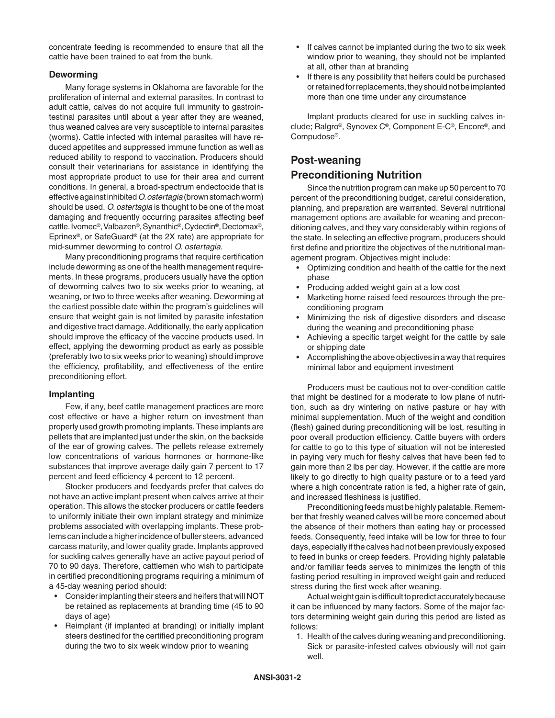concentrate feeding is recommended to ensure that all the cattle have been trained to eat from the bunk.

#### **Deworming**

Many forage systems in Oklahoma are favorable for the proliferation of internal and external parasites. In contrast to adult cattle, calves do not acquire full immunity to gastrointestinal parasites until about a year after they are weaned, thus weaned calves are very susceptible to internal parasites (worms). Cattle infected with internal parasites will have reduced appetites and suppressed immune function as well as reduced ability to respond to vaccination. Producers should consult their veterinarians for assistance in identifying the most appropriate product to use for their area and current conditions. In general, a broad-spectrum endectocide that is effective against inhibited *O. ostertagia* (brown stomach worm) should be used. *O. ostertagia* is thought to be one of the most damaging and frequently occurring parasites affecting beef cattle. Ivomec®, Valbazen®, Synanthic®, Cydectin®, Dectomax®, Eprinex®, or SafeGuard® (at the 2X rate) are appropriate for mid-summer deworming to control *O. ostertagia*.

Many preconditioning programs that require certification include deworming as one of the health management requirements. In these programs, producers usually have the option of deworming calves two to six weeks prior to weaning, at weaning, or two to three weeks after weaning. Deworming at the earliest possible date within the program's guidelines will ensure that weight gain is not limited by parasite infestation and digestive tract damage. Additionally, the early application should improve the efficacy of the vaccine products used. In effect, applying the deworming product as early as possible (preferably two to six weeks prior to weaning) should improve the efficiency, profitability, and effectiveness of the entire preconditioning effort.

#### **Implanting**

Few, if any, beef cattle management practices are more cost effective or have a higher return on investment than properly used growth promoting implants. These implants are pellets that are implanted just under the skin, on the backside of the ear of growing calves. The pellets release extremely low concentrations of various hormones or hormone-like substances that improve average daily gain 7 percent to 17 percent and feed efficiency 4 percent to 12 percent.

Stocker producers and feedyards prefer that calves do not have an active implant present when calves arrive at their operation. This allows the stocker producers or cattle feeders to uniformly initiate their own implant strategy and minimize problems associated with overlapping implants. These problems can include a higher incidence of buller steers, advanced carcass maturity, and lower quality grade. Implants approved for suckling calves generally have an active payout period of 70 to 90 days. Therefore, cattlemen who wish to participate in certified preconditioning programs requiring a minimum of a 45-day weaning period should:

- • Considerimplanting their steers and heifers that will NOT be retained as replacements at branding time (45 to 90 days of age)
- Reimplant (if implanted at branding) or initially implant steers destined for the certified preconditioning program during the two to six week window prior to weaning
- If calves cannot be implanted during the two to six week window prior to weaning, they should not be implanted at all, other than at branding
- If there is any possibility that heifers could be purchased or retained for replacements, they should not be implanted more than one time under any circumstance

Implant products cleared for use in suckling calves include; Ralgro®, Synovex C®, Component E-C®, Encore®, and Compudose®.

## **Post-weaning**

#### **Preconditioning Nutrition**

Since the nutrition program can make up 50 percent to 70 percent of the preconditioning budget, careful consideration, planning, and preparation are warranted. Several nutritional management options are available for weaning and preconditioning calves, and they vary considerably within regions of the state. In selecting an effective program, producers should first define and prioritize the objectives of the nutritional management program. Objectives might include:

- Optimizing condition and health of the cattle for the next phase
- Producing added weight gain at a low cost
- Marketing home raised feed resources through the preconditioning program
- • Minimizing the risk of digestive disorders and disease during the weaning and preconditioning phase
- Achieving a specific target weight for the cattle by sale or shipping date
- Accomplishing the above objectives in a way that requires minimal labor and equipment investment

Producers must be cautious not to over-condition cattle that might be destined for a moderate to low plane of nutrition, such as dry wintering on native pasture or hay with minimal supplementation. Much of the weight and condition (flesh) gained during preconditioning will be lost, resulting in poor overall production efficiency. Cattle buyers with orders for cattle to go to this type of situation will not be interested in paying very much for fleshy calves that have been fed to gain more than 2 lbs per day. However, if the cattle are more likely to go directly to high quality pasture or to a feed yard where a high concentrate ration is fed, a higher rate of gain, and increased fleshiness is justified.

Preconditioning feeds must be highly palatable. Remember that freshly weaned calves will be more concerned about the absence of their mothers than eating hay or processed feeds. Consequently, feed intake will be low for three to four days, especially if the calves had not been previously exposed to feed in bunks or creep feeders. Providing highly palatable and/or familiar feeds serves to minimizes the length of this fasting period resulting in improved weight gain and reduced stress during the first week after weaning.

Actual weight gain is difficult to predict accurately because it can be influenced by many factors. Some of the major factors determining weight gain during this period are listed as follows:

1. Health of the calves during weaning and preconditioning. Sick or parasite-infested calves obviously will not gain well.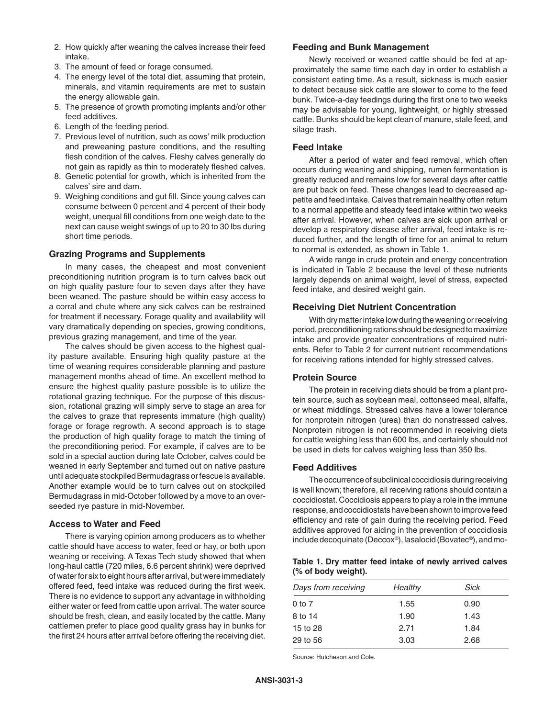- 2. How quickly after weaning the calves increase their feed intake.
- 3. The amount of feed or forage consumed.
- 4. The energy level of the total diet, assuming that protein, minerals, and vitamin requirements are met to sustain the energy allowable gain.
- 5. The presence of growth promoting implants and/or other feed additives.
- 6. Length of the feeding period.
- 7. Previous level of nutrition, such as cows' milk production and preweaning pasture conditions, and the resulting flesh condition of the calves. Fleshy calves generally do not gain as rapidly as thin to moderately fleshed calves.
- 8. Genetic potential for growth, which is inherited from the calves' sire and dam.
- 9. Weighing conditions and gut fill. Since young calves can consume between 0 percent and 4 percent of their body weight, unequal fill conditions from one weigh date to the next can cause weight swings of up to 20 to 30 lbs during short time periods.

#### **Grazing Programs and Supplements**

In many cases, the cheapest and most convenient preconditioning nutrition program is to turn calves back out on high quality pasture four to seven days after they have been weaned. The pasture should be within easy access to a corral and chute where any sick calves can be restrained for treatment if necessary. Forage quality and availability will vary dramatically depending on species, growing conditions, previous grazing management, and time of the year.

The calves should be given access to the highest quality pasture available. Ensuring high quality pasture at the time of weaning requires considerable planning and pasture management months ahead of time. An excellent method to ensure the highest quality pasture possible is to utilize the rotational grazing technique. For the purpose of this discussion, rotational grazing will simply serve to stage an area for the calves to graze that represents immature (high quality) forage or forage regrowth. A second approach is to stage the production of high quality forage to match the timing of the preconditioning period. For example, if calves are to be sold in a special auction during late October, calves could be weaned in early September and turned out on native pasture until adequate stockpiled Bermudagrass or fescue is available. Another example would be to turn calves out on stockpiled Bermudagrass in mid-October followed by a move to an overseeded rye pasture in mid-November.

#### **Access to Water and Feed**

There is varying opinion among producers as to whether cattle should have access to water, feed or hay, or both upon weaning or receiving. A Texas Tech study showed that when long-haul cattle (720 miles, 6.6 percent shrink) were deprived of water for six to eight hours after arrival, but were immediately offered feed, feed intake was reduced during the first week. There is no evidence to support any advantage in withholding either water or feed from cattle upon arrival. The water source should be fresh, clean, and easily located by the cattle. Many cattlemen prefer to place good quality grass hay in bunks for the first 24 hours after arrival before offering the receiving diet.

#### **Feeding and Bunk Management**

Newly received or weaned cattle should be fed at approximately the same time each day in order to establish a consistent eating time. As a result, sickness is much easier to detect because sick cattle are slower to come to the feed bunk. Twice-a-day feedings during the first one to two weeks may be advisable for young, lightweight, or highly stressed cattle. Bunks should be kept clean of manure, stale feed, and silage trash.

#### **Feed Intake**

After a period of water and feed removal, which often occurs during weaning and shipping, rumen fermentation is greatly reduced and remains low for several days after cattle are put back on feed. These changes lead to decreased appetite and feed intake. Calves that remain healthy often return to a normal appetite and steady feed intake within two weeks after arrival. However, when calves are sick upon arrival or develop a respiratory disease after arrival, feed intake is reduced further, and the length of time for an animal to return to normal is extended, as shown in Table 1.

A wide range in crude protein and energy concentration is indicated in Table 2 because the level of these nutrients largely depends on animal weight, level of stress, expected feed intake, and desired weight gain.

#### **Receiving Diet Nutrient Concentration**

With dry matter intake low during the weaning or receiving period, preconditioning rations should be designed to maximize intake and provide greater concentrations of required nutrients. Refer to Table 2 for current nutrient recommendations for receiving rations intended for highly stressed calves.

#### **Protein Source**

The protein in receiving diets should be from a plant protein source, such as soybean meal, cottonseed meal, alfalfa, or wheat middlings. Stressed calves have a lower tolerance for nonprotein nitrogen (urea) than do nonstressed calves. Nonprotein nitrogen is not recommended in receiving diets for cattle weighing less than 600 lbs, and certainly should not be used in diets for calves weighing less than 350 lbs.

#### **Feed Additives**

The occurrence of subclinical coccidiosis during receiving is well known; therefore, all receiving rations should contain a coccidiostat. Coccidiosis appears to play a role in the immune response, and coccidiostats have been shown to improve feed efficiency and rate of gain during the receiving period. Feed additives approved for aiding in the prevention of coccidiosis include decoquinate (Deccox®), lasalocid (Bovatec®), and mo-

#### **Table 1. Dry matter feed intake of newly arrived calves (% of body weight).**

| Days from receiving | Healthy | Sick |
|---------------------|---------|------|
| $0$ to $7$          | 1.55    | 0.90 |
| 8 to 14             | 1.90    | 1.43 |
| 15 to 28            | 2.71    | 1.84 |
| 29 to 56            | 3.03    | 2.68 |
|                     |         |      |

Source: Hutcheson and Cole.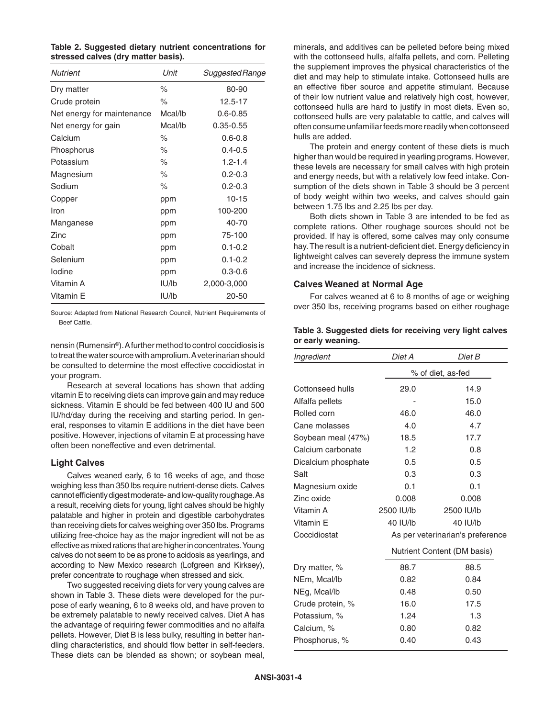|                                     | Table 2. Suggested dietary nutrient concentrations for |  |
|-------------------------------------|--------------------------------------------------------|--|
| stressed calves (dry matter basis). |                                                        |  |

| Nutrient                   | Unit    | Suggested Range |
|----------------------------|---------|-----------------|
| Dry matter                 | $\%$    | 80-90           |
| Crude protein              | $\%$    | 12.5-17         |
| Net energy for maintenance | Mcal/lb | $0.6 - 0.85$    |
| Net energy for gain        | Mcal/lb | $0.35 - 0.55$   |
| Calcium                    | $\%$    | $0.6 - 0.8$     |
| Phosphorus                 | $\%$    | $0.4 - 0.5$     |
| Potassium                  | $\%$    | $1.2 - 1.4$     |
| Magnesium                  | ℅       | $0.2 - 0.3$     |
| Sodium                     | ℅       | $0.2 - 0.3$     |
| Copper                     | ppm     | $10 - 15$       |
| Iron                       | ppm     | 100-200         |
| Manganese                  | ppm     | 40-70           |
| Zinc                       | ppm     | 75-100          |
| Cobalt                     | ppm     | $0.1 - 0.2$     |
| Selenium                   | ppm     | $0.1 - 0.2$     |
| lodine                     | ppm     | $0.3 - 0.6$     |
| Vitamin A                  | IU/lb   | 2,000-3,000     |
| Vitamin E                  | IU/Ib   | 20-50           |

Source: Adapted from National Research Council, Nutrient Requirements of Beef Cattle.

nensin (Rumensin®). A further method to control coccidiosis is to treat the water source with amprolium. A veterinarian should be consulted to determine the most effective coccidiostat in your program.

Research at several locations has shown that adding vitamin E to receiving diets can improve gain and may reduce sickness. Vitamin E should be fed between 400 IU and 500 IU/hd/day during the receiving and starting period. In general, responses to vitamin E additions in the diet have been positive. However, injections of vitamin E at processing have often been noneffective and even detrimental.

#### **Light Calves**

Calves weaned early, 6 to 16 weeks of age, and those weighing less than 350 lbs require nutrient-dense diets. Calves cannot efficiently digest moderate- and low-quality roughage. As a result, receiving diets for young, light calves should be highly palatable and higher in protein and digestible carbohydrates than receiving diets for calves weighing over 350 lbs. Programs utilizing free-choice hay as the major ingredient will not be as effective as mixed rations that are higher in concentrates. Young calves do not seem to be as prone to acidosis as yearlings, and according to New Mexico research (Lofgreen and Kirksey), prefer concentrate to roughage when stressed and sick.

Two suggested receiving diets for very young calves are shown in Table 3. These diets were developed for the purpose of early weaning, 6 to 8 weeks old, and have proven to be extremely palatable to newly received calves. Diet A has the advantage of requiring fewer commodities and no alfalfa pellets. However, Diet B is less bulky, resulting in better handling characteristics, and should flow better in self-feeders. These diets can be blended as shown; or soybean meal,

minerals, and additives can be pelleted before being mixed with the cottonseed hulls, alfalfa pellets, and corn. Pelleting the supplement improves the physical characteristics of the diet and may help to stimulate intake. Cottonseed hulls are an effective fiber source and appetite stimulant. Because of their low nutrient value and relatively high cost, however, cottonseed hulls are hard to justify in most diets. Even so, cottonseed hulls are very palatable to cattle, and calves will often consume unfamiliar feeds more readily when cottonseed hulls are added.

The protein and energy content of these diets is much higher than would be required in yearling programs. However, these levels are necessary for small calves with high protein and energy needs, but with a relatively low feed intake. Consumption of the diets shown in Table 3 should be 3 percent of body weight within two weeks, and calves should gain between 1.75 lbs and 2.25 lbs per day.

Both diets shown in Table 3 are intended to be fed as complete rations. Other roughage sources should not be provided. If hay is offered, some calves may only consume hay. The result is a nutrient-deficient diet. Energy deficiency in lightweight calves can severely depress the immune system and increase the incidence of sickness.

#### **Calves Weaned at Normal Age**

For calves weaned at 6 to 8 months of age or weighing over 350 lbs, receiving programs based on either roughage

| Table 3. Suggested diets for receiving very light calves |  |  |  |
|----------------------------------------------------------|--|--|--|
| or early weaning.                                        |  |  |  |

| Ingredient          | Diet A     | Diet B                           |  |  |
|---------------------|------------|----------------------------------|--|--|
|                     |            | % of diet, as-fed                |  |  |
| Cottonseed hulls    | 29.0       | 14.9                             |  |  |
| Alfalfa pellets     |            | 15.0                             |  |  |
| Rolled corn         | 46.0       | 46.0                             |  |  |
| Cane molasses       | 4.0        | 4.7                              |  |  |
| Soybean meal (47%)  | 18.5       | 17.7                             |  |  |
| Calcium carbonate   | 1.2        | 0.8                              |  |  |
| Dicalcium phosphate | 0.5        | 0.5                              |  |  |
| Salt                | 0.3        | 0.3                              |  |  |
| Magnesium oxide     | 0.1        | 0.1                              |  |  |
| Zinc oxide          | 0.008      | 0.008                            |  |  |
| Vitamin A           | 2500 IU/lb | 2500 IU/lb                       |  |  |
| Vitamin E           | 40 IU/lb   | 40 IU/lb                         |  |  |
| Coccidiostat        |            | As per veterinarian's preference |  |  |
|                     |            | Nutrient Content (DM basis)      |  |  |
| Dry matter, %       | 88.7       | 88.5                             |  |  |
| NEm, Mcal/lb        | 0.82       | 0.84                             |  |  |
| NEg, Mcal/lb        | 0.48       | 0.50                             |  |  |
| Crude protein, %    | 16.0       | 17.5                             |  |  |
| Potassium, %        | 1.24       | 1.3                              |  |  |
| Calcium, %          | 0.80       | 0.82                             |  |  |
| Phosphorus, %       | 0.40       | 0.43                             |  |  |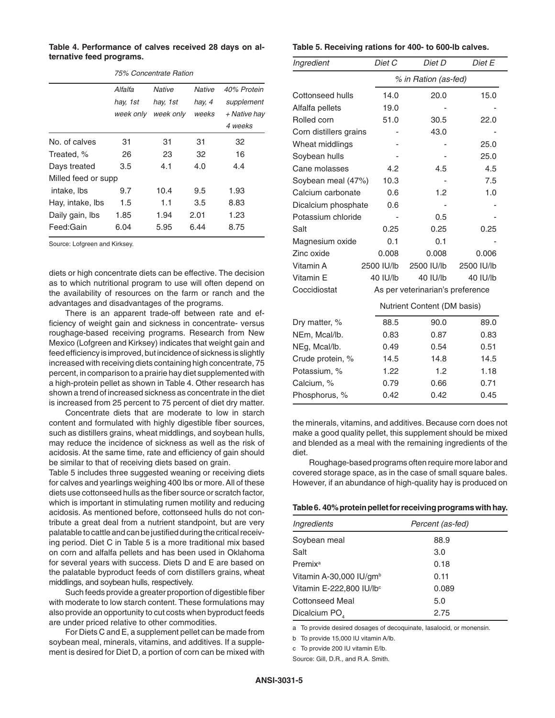**Table 4. Performance of calves received 28 days on alternative feed programs.**

|                     | $19.0$ ouncentrate Hallon |           |               |              |
|---------------------|---------------------------|-----------|---------------|--------------|
|                     | Alfalfa                   | Native    | <b>Native</b> | 40% Protein  |
|                     | hay, 1st                  | hay, 1st  | hay, 4        | supplement   |
|                     | week only                 | week only | weeks         | + Native hay |
|                     |                           |           |               | 4 weeks      |
| No. of calves       | 31                        | 31        | 31            | 32           |
| Treated, %          | 26                        | 23        | 32            | 16           |
| Days treated        | 3.5                       | 4.1       | 4.0           | 4.4          |
| Milled feed or supp |                           |           |               |              |
| intake, Ibs         | 9.7                       | 10.4      | 9.5           | 1.93         |
| Hay, intake, Ibs    | 1.5                       | 1.1       | 3.5           | 8.83         |
| Daily gain, Ibs     | 1.85                      | 1.94      | 2.01          | 1.23         |
| Feed:Gain           | 6.04                      | 5.95      | 6.44          | 8.75         |

*75% Concentrate Ration*

Source: Lofgreen and Kirksey.

diets or high concentrate diets can be effective. The decision as to which nutritional program to use will often depend on the availability of resources on the farm or ranch and the advantages and disadvantages of the programs.

There is an apparent trade-off between rate and efficiency of weight gain and sickness in concentrate- versus roughage-based receiving programs. Research from New Mexico (Lofgreen and Kirksey) indicates that weight gain and feed efficiency is improved, but incidence of sickness is slightly increased with receiving diets containing high concentrate, 75 percent, in comparison to a prairie hay diet supplemented with a high-protein pellet as shown in Table 4. Other research has shown a trend of increased sickness as concentrate in the diet is increased from 25 percent to 75 percent of diet dry matter.

Concentrate diets that are moderate to low in starch content and formulated with highly digestible fiber sources, such as distillers grains, wheat middlings, and soybean hulls, may reduce the incidence of sickness as well as the risk of acidosis. At the same time, rate and efficiency of gain should be similar to that of receiving diets based on grain.

Table 5 includes three suggested weaning or receiving diets for calves and yearlings weighing 400 lbs or more. All of these diets use cottonseed hulls as the fiber source or scratch factor, which is important in stimulating rumen motility and reducing acidosis. As mentioned before, cottonseed hulls do not contribute a great deal from a nutrient standpoint, but are very palatable to cattle and can be justified during the critical receiving period. Diet C in Table 5 is a more traditional mix based on corn and alfalfa pellets and has been used in Oklahoma for several years with success. Diets D and E are based on the palatable byproduct feeds of corn distillers grains, wheat middlings, and soybean hulls, respectively.

Such feeds provide a greater proportion of digestible fiber with moderate to low starch content. These formulations may also provide an opportunity to cut costs when byproduct feeds are under priced relative to other commodities.

For Diets C and E, a supplement pellet can be made from soybean meal, minerals, vitamins, and additives. If a supplement is desired for Diet D, a portion of corn can be mixed with

#### **Table 5. Receiving rations for 400- to 600-lb calves.**

| Ingredient                  | Diet C               | Diet D                           | Diet E     |  |
|-----------------------------|----------------------|----------------------------------|------------|--|
|                             | % in Ration (as-fed) |                                  |            |  |
| Cottonseed hulls            | 14.0                 | 20.0                             | 15.0       |  |
| Alfalfa pellets             | 19.0                 |                                  |            |  |
| Rolled corn                 | 51.0                 | 30.5                             | 22.0       |  |
| Corn distillers grains      |                      | 43.0                             |            |  |
| Wheat middlings             |                      |                                  | 25.0       |  |
| Soybean hulls               |                      |                                  | 25.0       |  |
| Cane molasses               | 4.2                  | 4.5                              | 4.5        |  |
| Soybean meal (47%)          | 10.3                 |                                  | 7.5        |  |
| Calcium carbonate           | 0.6                  | 1.2                              | 1.0        |  |
| Dicalcium phosphate         | 0.6                  |                                  |            |  |
| Potassium chloride          |                      | 0.5                              |            |  |
| Salt                        | 0.25                 | 0.25                             | 0.25       |  |
| Magnesium oxide             | 0.1                  | 0.1                              |            |  |
| Zinc oxide                  | 0.008                | 0.008                            | 0.006      |  |
| Vitamin A                   | 2500 IU/lb           | 2500 IU/lb                       | 2500 IU/lb |  |
| Vitamin E                   | 40 IU/lb             | 40 IU/lb                         | 40 IU/lb   |  |
| Coccidiostat                |                      | As per veterinarian's preference |            |  |
| Nutrient Content (DM basis) |                      |                                  |            |  |
| Dry matter, %               | 88.5                 | 90.0                             | 89.0       |  |
| NEm, Mcal/lb.               | 0.83                 | 0.87                             | 0.83       |  |
| NEg, Mcal/lb.               | 0.49                 | 0.54                             | 0.51       |  |
| Crude protein, %            | 14.5                 | 14.8                             | 14.5       |  |
| Potassium, %                | 1.22                 | 1.2                              | 1.18       |  |
| Calcium, %                  | 0.79                 | 0.66                             | 0.71       |  |
| Phosphorus, %               | 0.42                 | 0.42                             | 0.45       |  |

the minerals, vitamins, and additives. Because corn does not make a good quality pellet, this supplement should be mixed and blended as a meal with the remaining ingredients of the diet.

Roughage-based programs often require more labor and covered storage space, as in the case of small square bales. However, if an abundance of high-quality hay is produced on

#### **Table 6. 40% protein pellet for receiving programs with hay.**

| Ingredients               | Percent (as-fed) |  |
|---------------------------|------------------|--|
| Soybean meal              | 88.9             |  |
| Salt                      | 3.0              |  |
| Premix <sup>a</sup>       | 0.18             |  |
| Vitamin A-30,000 IU/gmb   | 0.11             |  |
| Vitamin E-222,800 IU/lbc  | 0.089            |  |
| <b>Cottonseed Meal</b>    | 5.0              |  |
| Dicalcium PO <sub>4</sub> | 2.75             |  |

a To provide desired dosages of decoquinate, Iasalocid, or monensin.

b To provide 15,000 IU vitamin A/lb.

c To provide 200 IU vitamin E/lb.

Source: Gill, D.R., and R.A. Smith.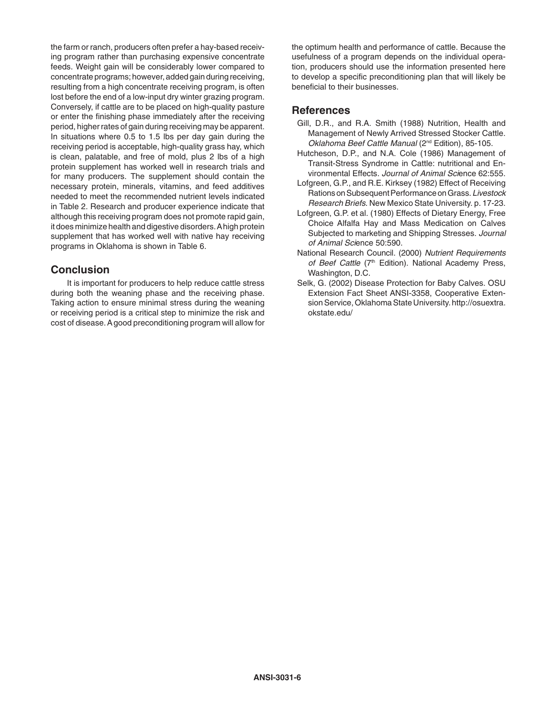the farm or ranch, producers often prefer a hay-based receiving program rather than purchasing expensive concentrate feeds. Weight gain will be considerably lower compared to concentrate programs; however, added gain during receiving, resulting from a high concentrate receiving program, is often lost before the end of a low-input dry winter grazing program. Conversely, if cattle are to be placed on high-quality pasture or enter the finishing phase immediately after the receiving period, higher rates of gain during receiving may be apparent. In situations where 0.5 to 1.5 lbs per day gain during the receiving period is acceptable, high-quality grass hay, which is clean, palatable, and free of mold, plus 2 lbs of a high protein supplement has worked well in research trials and for many producers. The supplement should contain the necessary protein, minerals, vitamins, and feed additives needed to meet the recommended nutrient levels indicated in Table 2. Research and producer experience indicate that although this receiving program does not promote rapid gain, it does minimize health and digestive disorders. A high protein supplement that has worked well with native hay receiving programs in Oklahoma is shown in Table 6.

## **Conclusion**

It is important for producers to help reduce cattle stress during both the weaning phase and the receiving phase. Taking action to ensure minimal stress during the weaning or receiving period is a critical step to minimize the risk and cost of disease. A good preconditioning program will allow for

the optimum health and performance of cattle. Because the usefulness of a program depends on the individual operation, producers should use the information presented here to develop a specific preconditioning plan that will likely be beneficial to their businesses.

### **References**

- Gill, D.R., and R.A. Smith (1988) Nutrition, Health and Management of Newly Arrived Stressed Stocker Cattle. *Oklahoma Beef Cattle Manual* (2nd Edition), 85-105.
- Hutcheson, D.P., and N.A. Cole (1986) Management of Transit-Stress Syndrome in Cattle: nutritional and Environmental Effects. *Journal of Animal Sci*ence 62:555.
- Lofgreen, G.P., and R.E. Kirksey (1982) Effect of Receiving Rations on Subsequent Performance on Grass. *Livestock Research Briefs*. New Mexico State University. p. 17-23.
- Lofgreen, G.P. et al. (1980) Effects of Dietary Energy, Free Choice Alfalfa Hay and Mass Medication on Calves Subjected to marketing and Shipping Stresses. *Journal of Animal Sci*ence 50:590.
- National Research Council. (2000) *Nutrient Requirements*  of Beef Cattle (7<sup>th</sup> Edition). National Academy Press, Washington, D.C.
- Selk, G. (2002) Disease Protection for Baby Calves. OSU Extension Fact Sheet ANSI-3358, Cooperative Extension Service, Oklahoma State University. http://osuextra. okstate.edu/